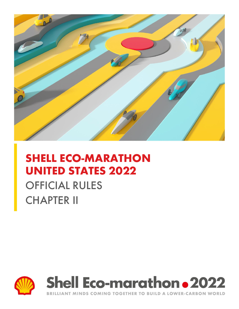

# **SHELL ECO-MARATHON UNITED STATES 2022**

# OFFICIAL RULES CHAPTER II





BRILLIANT MINDS COMING TOGETHER TO BUILD A LOWER-CARBON WORLD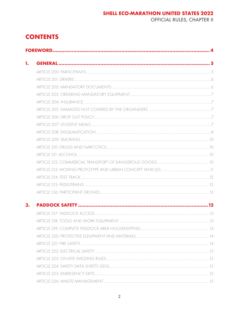### **SHELL ECO-MARATHON UNITED STATES 2022**

**OFFICIAL RULES, CHAPTER II** 

# **CONTENTS**

| 1. |                                        |      |  |
|----|----------------------------------------|------|--|
|    |                                        |      |  |
|    |                                        |      |  |
|    |                                        |      |  |
|    |                                        |      |  |
|    |                                        |      |  |
|    |                                        |      |  |
|    |                                        |      |  |
|    |                                        |      |  |
|    |                                        |      |  |
|    |                                        |      |  |
|    |                                        |      |  |
|    |                                        |      |  |
|    |                                        |      |  |
|    |                                        |      |  |
|    |                                        |      |  |
|    |                                        |      |  |
|    |                                        |      |  |
| 3. |                                        |      |  |
|    |                                        |      |  |
|    | ARTICLE 218: TOOLS AND WORK FOLIIPMENT | . 13 |  |
|    |                                        |      |  |
|    |                                        |      |  |
|    |                                        |      |  |
|    |                                        |      |  |
|    |                                        |      |  |
|    |                                        |      |  |
|    |                                        |      |  |
|    |                                        |      |  |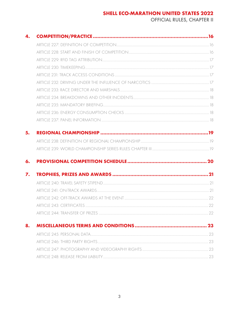### **SHELL ECO-MARATHON UNITED STATES 2022**

**OFFICIAL RULES, CHAPTER II** 

| 4. |    |
|----|----|
|    |    |
|    |    |
|    |    |
|    |    |
|    |    |
|    |    |
|    |    |
|    |    |
|    |    |
|    |    |
|    |    |
| 5. |    |
|    |    |
|    |    |
| 6. |    |
| 7. |    |
|    |    |
|    |    |
|    |    |
|    |    |
|    |    |
| 8. | 23 |
|    |    |
|    |    |
|    |    |
|    |    |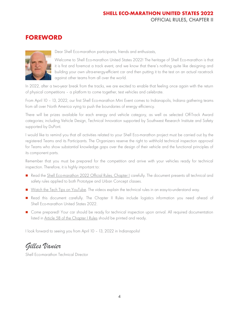# <span id="page-4-0"></span>**FOREWORD**



Dear Shell Eco-marathon participants, friends and enthusiasts,

Welcome to Shell Eco-marathon United States 2022! The heritage of Shell Eco-marathon is that it is first and foremost a track event, and we know that there's nothing quite like designing and building your own ultra-energy-efficient car and then putting it to the test on an actual racetrack against other teams from all over the world.

In 2022, after a two-year break from the tracks, we are excited to enable that feeling once again with the return of physical competitions – a platform to come together, test vehicles and celebrate.

From April 10 – 13, 2022, our first Shell Eco-marathon Mini Event comes to Indianapolis, Indiana gathering teams from all over North America vying to push the boundaries of energy efficiency.

There will be prizes available for each energy and vehicle category, as well as selected Off-Track Award categories; including Vehicle Design, Technical Innovation supported by Southwest Research Institute and Safety supported by DuPont.

I would like to remind you that all activities related to your Shell Eco-marathon project must be carried out by the registered Teams and its Participants. The Organizers reserve the right to withhold technical inspection approval for Teams who show substantial knowledge gaps over the design of their vehicle and the functional principles of its component parts.

Remember that you must be prepared for the competition and arrive with your vehicles ready for technical inspection. Therefore, it is highly important to:

- Read the [Shell Eco-marathon 2022 Official Rules, Chapter I](https://www.makethefuture.shell/en-gb/shell-eco-marathon/global-rules) carefully. The document presents all technical and safety rules applied to both Prototype and Urban Concept classes.
- [Watch the Tech Tips on YouTube.](https://www.youtube.com/playlist?list=PLEPIVJVCFQH3q4PLtFAsJujpELu0ywmpS) The videos explain the technical rules in an easy-to-understand way.
- Read this document carefully. The Chapter II Rules include logistics information you need ahead of Shell Eco-marathon United States 2022.
- Come prepared! Your car should be ready for technical inspection upon arrival. All required documentation listed in [Article 58 of the Chapter I Rules](https://base.makethefuture.shell/en_gb/service/api/home/shell-eco-marathon/global-rules/_jcr_content/root/content/document_listing/items/download_595134961.stream/1630485146156/38a7abe7331aaa24603d0e8b158565cc726ab78d/shell-eco-marathon-2022-official-rules-chapter-i.pdf) should be printed and ready.

I look forward to seeing you from April 10 – 13, 2022 in Indianapolis!

# *Gilles Vanier*

Shell Eco-marathon Technical Director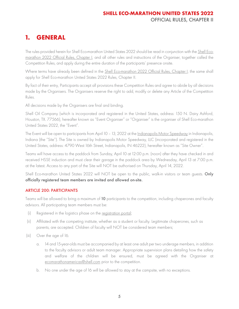# <span id="page-5-0"></span>**1. GENERAL**

The rules provided herein for Shell Eco-marathon United States 2022 should be read in conjunction with the [Shell Eco](https://base.makethefuture.shell/en_gb/service/api/home/shell-eco-marathon/global-rules/_jcr_content/root/content/document_listing/items/download_595134961.stream/1630485146156/38a7abe7331aaa24603d0e8b158565cc726ab78d/shell-eco-marathon-2022-official-rules-chapter-i.pdf)[marathon 2022 Official Rules, Chapter I,](https://base.makethefuture.shell/en_gb/service/api/home/shell-eco-marathon/global-rules/_jcr_content/root/content/document_listing/items/download_595134961.stream/1630485146156/38a7abe7331aaa24603d0e8b158565cc726ab78d/shell-eco-marathon-2022-official-rules-chapter-i.pdf) and all other rules and instructions of the Organiser, together called the Competition Rules, and apply during the entire duration of the participants' presence onsite.

Where terms have already been defined in the [Shell Eco-marathon 2022 Official Rules, Chapter I,](https://base.makethefuture.shell/en_gb/service/api/home/shell-eco-marathon/global-rules/_jcr_content/root/content/document_listing/items/download_595134961.stream/1630485146156/38a7abe7331aaa24603d0e8b158565cc726ab78d/shell-eco-marathon-2022-official-rules-chapter-i.pdf) the same shall apply for Shell Eco-marathon United States 2022 Rules, Chapter II.

By fact of their entry, Participants accept all provisions these Competition Rules and agree to abide by all decisions made by the Organisers. The Organisers reserve the right to add, modify or delete any Article of the Competition Rules.

All decisions made by the Organisers are final and binding.

Shell Oil Company (which is incorporated and registered in the United States, address: 150 N. Dairy Ashford, Houston, TX. 77566), hereafter known as "Event Organiser" or "Organiser" is the organiser of Shell Eco-marathon United States 2022, the "Event".

The Event will be open to participants from April 10 – 13, 2022 at the [Indianapolis Motor Speedway](https://www.indianapolismotorspeedway.com/) in Indianapolis, Indiana (the "Site"). The Site is owned by Indianapolis Motor Speedway, LLC (incorporated and registered in the United States, address: 4790 West 16th Street, Indianapolis, IN 46222), hereafter known as "Site Owner".

Teams will have access to the paddock from Sunday, April 10 at 12:00 p.m. (noon) after they have checked in and received HSSE induction and must clear their garage in the paddock area by Wednesday, April 13 at 7:00 p.m. at the latest. Access to any part of the Site will NOT be authorised on Thursday, April 14, 2022.

Shell Eco-marathon United States 2022 will NOT be open to the public, walk-in visitors or team guests. Only officially registered team members are invited and allowed on-site.

#### <span id="page-5-1"></span>ARTICLE 200: PARTICIPANTS

Teams will be allowed to bring a maximum of 10 participants to the competition, including chaperones and faculty advisors. All participating team members must be:

- (i) Registered in the logistics phase on the [registration portal;](https://register.makethefuture.shell/)
- (ii) Affiliated with the competing institute, whether as a student or faculty. Legitimate chaperones, such as parents, are accepted. Children of faculty will NOT be considered team members;
- (iii) Over the age of 16.
	- a. 14 and 15-year-olds must be accompanied by at least one adult per two underage members, in addition to the faculty advisors or adult team manager. Appropriate supervision plans detailing how the safety and welfare of the children will be ensured, must be agreed with the Organiser at [ecomarathonamericas@shell.com](mailto:ecomarathonamericas@shell.com) prior to the competition.
	- b. No one under the age of 16 will be allowed to stay at the campsite, with no exceptions.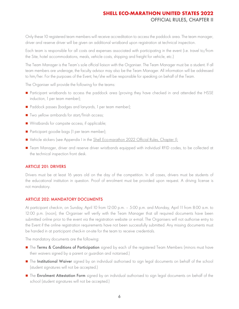Only these 10 registered team members will receive accreditation to access the paddock area. The team manager, driver and reserve driver will be given an additional wristband upon registration at technical inspection.

Each team is responsible for all costs and expenses associated with participating in the event (i.e. travel to/from the Site, hotel accommodations, meals, vehicle costs, shipping and freight for vehicle, etc.)

The Team Manager is the Team's sole official liaison with the Organiser. The Team Manager must be a student. If all team members are underage, the faculty advisor may also be the Team Manager. All information will be addressed to him/her. For the purposes of the Event, he/she will be responsible for speaking on behalf of the Team.

The Organiser will provide the following for the teams:

- Participant wristbands to access the paddock area (proving they have checked in and attended the HSSE induction, 1 per team member);
- Paddock passes (badges and lanyards, 1 per team member);
- Two yellow armbands for start/finish access;
- Wristbands for campsite access, if applicable;
- Participant goodie bags (1 per team member);
- Vehicle stickers (see Appendix I in the [Shell Eco-marathon 2022 Official Rules, Chapter I\)](https://base.makethefuture.shell/en_gb/service/api/home/shell-eco-marathon/global-rules/_jcr_content/root/content/document_listing/items/download_595134961.stream/1630485146156/38a7abe7331aaa24603d0e8b158565cc726ab78d/shell-eco-marathon-2022-official-rules-chapter-i.pdf);
- Team Manager, driver and reserve driver wristbands equipped with individual RFID codes, to be collected at the technical inspection front desk.

#### <span id="page-6-0"></span>ARTICLE 201: DRIVERS

Drivers must be at least 16 years old on the day of the competition. In all cases, drivers must be students of the educational institution in question. Proof of enrolment must be provided upon request. A driving license is not mandatory.

#### <span id="page-6-1"></span>ARTICLE 202: MANDATORY DOCUMENTS

At participant check-in, on Sunday, April 10 from 12:00 p.m. – 5:00 p.m. and Monday, April 11 from 8:00 a.m. to 12:00 p.m. (noon), the Organiser will verify with the Team Manager that all required documents have been submitted online prior to the event via the registration website or e-mail. The Organisers will not authorise entry to the Event if the online registration requirements have not been successfully submitted. Any missing documents must be handed in at participant check-in on-site for the team to receive credentials.

The mandatory documents are the following:

- The Terms & Conditions of Participation signed by each of the registered Team Members (minors must have their waivers signed by a parent or guardian and notarised.)
- The Institutional Waiver signed by an individual authorised to sign legal documents on behalf of the school (student signatures will not be accepted.)
- The Enrolment Attestation Form signed by an individual authorised to sign legal documents on behalf of the school (student signatures will not be accepted.)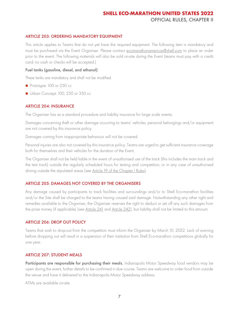#### <span id="page-7-0"></span>ARTICLE 203: ORDERING MANDATORY EQUIPMENT

This article applies to Teams that do not yet have the required equipment. The following item is mandatory and must be purchased via the Event Organiser. Please contact [ecomarathonamericas@shell.com](mailto:ecomarathonamericas@shell.com) to place an order prior to the event. The following materials will also be sold on-site during the Event (teams must pay with a credit card; no cash or checks will be accepted.)

#### Fuel tanks (gasoline, diesel, and ethanol)

These tanks are mandatory and shall not be modified.

- Prototype: 100 or 250 cc
- Urban Concept: 100, 250 or 350 cc

#### <span id="page-7-1"></span>ARTICLE 204: INSURANCE

The Organiser has as a standard procedure and liability insurance for large scale events.

Damages concerning theft or other damage occurring to teams' vehicles, personal belongings and/or equipment are not covered by this insurance policy.

Damages coming from inappropriate behaviour will not be covered.

Personal injuries are also not covered by this insurance policy. Teams are urged to get sufficient insurance coverage both for themselves and their vehicles for the duration of the Event.

The Organiser shall not be held liable in the event of unauthorised use of the track (this includes the main track and the test track) outside the regularly scheduled hours for testing and competition, or in any case of unauthorised driving outside the stipulated areas (see [Article 19](https://base.makethefuture.shell/en_gb/service/api/home/shell-eco-marathon/global-rules/_jcr_content/root/content/document_listing/items/download_595134961.stream/1630485146156/38a7abe7331aaa24603d0e8b158565cc726ab78d/shell-eco-marathon-2022-official-rules-chapter-i.pdf) of the Chapter I Rules).

#### <span id="page-7-2"></span>ARTICLE 205: DAMAGES NOT COVERED BY THE ORGANISERS

Any damage caused by participants to track facilities and surroundings and/or to Shell Eco-marathon facilities and/or the Site shall be charged to the teams having caused said damage. Notwithstanding any other right and remedies available to the Organiser, the Organiser reserves the right to deduct or set off any such damages from the prize money (if applicable) (see [Article 241](#page-21-2) and [Article 242\)](#page-22-0), but liability shall not be limited to this amount.

#### <span id="page-7-3"></span>ARTICLE 206: DROP OUT POLICY

Teams that wish to drop-out from the competition must inform the Organiser by March 10, 2022. Lack of warning before dropping out will result in a suspension of their institution from Shell Eco-marathon competitions globally for one year.

#### <span id="page-7-4"></span>ARTICLE 207: STUDENT MEALS

Participants are responsible for purchasing their meals. Indianapolis Motor Speedway food vendors may be open during the event, further details to be confirmed in due course. Teams are welcome to order food from outside the venue and have it delivered to the Indianapolis Motor Speedway address.

ATMs are available on-site.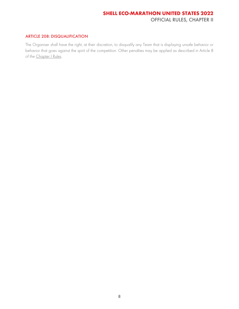#### <span id="page-8-0"></span>ARTICLE 208: DISQUALIFICATION

The Organiser shall have the right, at their discretion, to disqualify any Team that is displaying unsafe behavior or behavior that goes against the spirit of the competition. Other penalties may be applied as described in Article 8 of the [Chapter I Rules.](https://base.makethefuture.shell/en_gb/service/api/home/shell-eco-marathon/global-rules/_jcr_content/root/content/document_listing/items/download_595134961.stream/1630485146156/38a7abe7331aaa24603d0e8b158565cc726ab78d/shell-eco-marathon-2022-official-rules-chapter-i.pdf)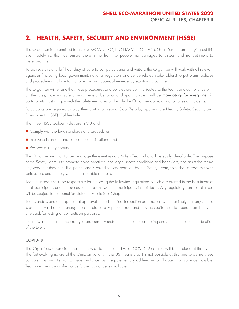# **2. HEALTH, SAFETY, SECURITY AND ENVIRONMENT (HSSE)**

The Organiser is determined to achieve GOAL ZERO, NO HARM, NO LEAKS. Goal Zero means carrying out this event safely so that we ensure there is no harm to people, no damages to assets, and no detriment to the environment.

To achieve this and fulfill our duty of care to our participants and visitors, the Organiser will work with all relevant agencies (including local government, national regulators and venue related stakeholders) to put plans, policies and procedures in place to manage risk and potential emergency situations that arise.

The Organiser will ensure that these procedures and policies are communicated to the teams and compliance with all the rules, including safe driving, general behavior and sporting rules, will be **mandatory for everyone**. All participants must comply with the safety measures and notify the Organiser about any anomalies or incidents.

Participants are required to play their part in achieving Goal Zero by applying the Health, Safety, Security and Environment (HSSE) Golden Rules.

The three HSSE Golden Rules are, YOU and I:

- Comply with the law, standards and procedures;
- Intervene in unsafe and non-compliant situations; and
- Respect our neighbours.

The Organiser will monitor and manage the event using a Safety Team who will be easily identifiable. The purpose of the Safety Team is to promote good practices, challenge unsafe conditions and behaviors, and assist the teams any way that they can. If a participant is asked for cooperation by the Safety Team, they should treat this with seriousness and comply with all reasonable requests.

Team managers shall be responsible for enforcing the following regulations, which are drafted in the best interests of all participants and the success of the event, with the participants in their team. Any regulatory non-compliances will be subject to the penalties stated in [Article 8 of Chapter I.](https://base.makethefuture.shell/en_gb/service/api/home/shell-eco-marathon/global-rules/_jcr_content/root/content/document_listing/items/download_595134961.stream/1630485146156/38a7abe7331aaa24603d0e8b158565cc726ab78d/shell-eco-marathon-2022-official-rules-chapter-i.pdf)

Teams understand and agree that approval in the Technical Inspection does not constitute or imply that any vehicle is deemed valid or safe enough to operate on any public road, and only accredits them to operate on the Event Site track for testing or competition purposes.

Health is also a main concern. If you are currently under medication, please bring enough medicine for the duration of the Event.

#### COVID-19

The Organisers appreciate that teams wish to understand what COVID-19 controls will be in place at the Event. The fast-evolving nature of the Omicron variant in the US means that it is not possible at this time to define these controls. It is our intention to issue guidance, as a supplementary addendum to Chapter II as soon as possible. Teams will be duly notified once further guidance is available.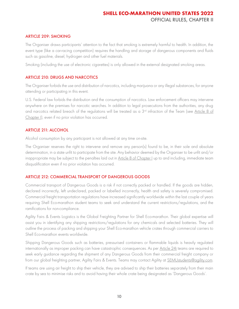#### <span id="page-10-0"></span>ARTICLE 209: SMOKING

The Organiser draws participants' attention to the fact that smoking is extremely harmful to health. In addition, the event type (like a car-racing competition) requires the handling and storage of dangerous components and fluids such as gasoline, diesel, hydrogen and other fuel materials.

Smoking (including the use of electronic cigarettes) is only allowed in the external designated smoking areas.

#### <span id="page-10-1"></span>ARTICLE 210: DRUGS AND NARCOTICS

The Organiser forbids the use and distribution of narcotics, including marijuana or any illegal substances, for anyone attending or participating in this event.

U.S. Federal law forbids the distribution and the consumption of narcotics. Law enforcement officers may intervene anywhere on the premises for narcotic searches. In addition to legal prosecutions from the authorities, any drug and narcotics related breach of the regulations will be treated as a 3<sup>rd</sup> infraction of the Team (see [Article](https://base.makethefuture.shell/en_gb/service/api/home/shell-eco-marathon/global-rules/_jcr_content/root/content/document_listing/items/download_595134961.stream/1630485146156/38a7abe7331aaa24603d0e8b158565cc726ab78d/shell-eco-marathon-2022-official-rules-chapter-i.pdf) 8 of [Chapter I\)](https://base.makethefuture.shell/en_gb/service/api/home/shell-eco-marathon/global-rules/_jcr_content/root/content/document_listing/items/download_595134961.stream/1630485146156/38a7abe7331aaa24603d0e8b158565cc726ab78d/shell-eco-marathon-2022-official-rules-chapter-i.pdf), even if no prior violation has occurred.

#### <span id="page-10-2"></span>ARTICLE 211: ALCOHOL

Alcohol consumption by any participant is not allowed at any time on-site.

The Organiser reserves the right to intervene and remove any person(s) found to be, in their sole and absolute determination, in a state unfit to participate from the site. Any behavior deemed by the Organiser to be unfit and/or inappropriate may be subject to the penalties laid out in [Article 8 of Chapter I](https://base.makethefuture.shell/en_gb/service/api/home/shell-eco-marathon/global-rules/_jcr_content/root/content/document_listing/items/download_595134961.stream/1630485146156/38a7abe7331aaa24603d0e8b158565cc726ab78d/shell-eco-marathon-2022-official-rules-chapter-i.pdf) up to and including, immediate team disqualification even if no prior violation has occurred.

#### <span id="page-10-3"></span>ARTICLE 212: COMMERCIAL TRANSPORT OF DANGEROUS GOODS

Commercial transport of Dangerous Goods is a risk if not correctly packed or handled. If the goods are hidden, declared incorrectly, left undeclared, packed or labelled incorrectly, health and safety is severely compromised. Commercial freight transportation regulations have increased significantly worldwide within the last couple of years requiring Shell Eco-marathon student teams to seek and understand the current restrictions/regulations, and the ramifications for non-compliance.

Agility Fairs & Events Logistics is the Global Freighting Partner for Shell Eco-marathon. Their global expertise will assist you in identifying any shipping restrictions/regulations for any chemicals and selected batteries. They will outline the process of packing and shipping your Shell Eco-marathon vehicle crates through commercial carriers to Shell Eco-marathon events worldwide.

Shipping Dangerous Goods such as batteries, pressurised containers or flammable liquids is heavily regulated internationally as improper packing can have catastrophic consequences. As per [Article 24i](https://base.makethefuture.shell/en_gb/service/api/home/shell-eco-marathon/global-rules/_jcr_content/root/content/document_listing/items/download_595134961.stream/1630485146156/38a7abe7331aaa24603d0e8b158565cc726ab78d/shell-eco-marathon-2022-official-rules-chapter-i.pdf) teams are required to seek early guidance regarding the shipment of any Dangerous Goods from their commercial freight company or from our global freighting partner, Agility Fairs & Events. Teams may contact Agility at **SEMUstudents@agility.com.** 

If teams are using air freight to ship their vehicle, they are advised to ship their batteries separately from their main crate by sea to minimise risks and to avoid having their whole crate being designated as 'Dangerous Goods'.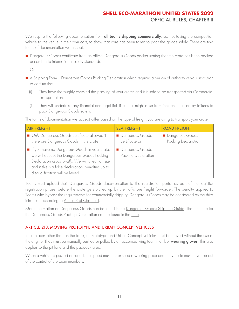We require the following documentation from all teams shipping commercially, i.e. not taking the competition vehicle to the venue in their own cars, to show that care has been taken to pack the goods safely. There are two forms of documentation we accept:

■ Dangerous Goods certificate from an official Dangerous Goods packer stating that the crate has been packed according to international safety standards.

Or

- A Shipping Form [+ Dangerous Goods Packing Declaration](https://register.makethefuture.shell/content/dam/sem-aem/sem-2022/sem-usa-2022/SEM%20USA%202022%20-%20Shipping%20Form%20and%20DG%20Packing%20Declaration%20V3.pdf) which requires a person of authority at your institution to confirm that
	- (i) They have thoroughly checked the packing of your crates and it is safe to be transported via Commercial Transportation.
	- (ii) They will undertake any financial and legal liabilities that might arise from incidents caused by failures to pack Dangerous Goods safely.

The forms of documentation we accept differ based on the type of freight you are using to transport your crate.

| <b>AIR FREIGHT</b>                                                                                                                                                                                                                         | <b>SEA FREIGHT</b>                     | <b>ROAD FREIGHT</b>                    |
|--------------------------------------------------------------------------------------------------------------------------------------------------------------------------------------------------------------------------------------------|----------------------------------------|----------------------------------------|
| Only Dangerous Goods certificate allowed if<br>there are Dangerous Goods in the crate                                                                                                                                                      | Dangerous Goods<br>certificate or      | Dangerous Goods<br>Packing Declaration |
| If you have no Dangerous Goods in your crate,<br>we will accept the Dangerous Goods Packing<br>Declaration provisionally. We will check on site<br>and if this is a false declaration, penalties up to<br>disqualification will be levied. | Dangerous Goods<br>Packing Declaration |                                        |

Teams must upload their Dangerous Goods documentation to the registration portal as part of the logistics registration phase, before the crate gets picked up by their off-shore freight forwarder. The penalty applied to Teams who bypass the requirements for commercially shipping Dangerous Goods may be considered as the third infraction according to [Article 8 of Chapter I.](https://base.makethefuture.shell/en_gb/service/api/home/shell-eco-marathon/global-rules/_jcr_content/root/content/document_listing/items/download_595134961.stream/1630485146156/38a7abe7331aaa24603d0e8b158565cc726ab78d/shell-eco-marathon-2022-official-rules-chapter-i.pdf)

More information on Dangerous Goods can be found in the [Dangerous Goods Shipping Guide.](https://register.makethefuture.shell/content/dam/sem-aem/sem-2022/sem-usa-2022/Shell%20Eco-marathon%202022%20Dangerous%20Goods%20Guide.pdf) The template for the Dangerous Goods Packing Declaration can be found in the [here.](https://register.makethefuture.shell/content/dam/sem-aem/sem-2022/sem-usa-2022/SEM%20USA%202022%20-%20Shipping%20Form%20and%20DG%20Packing%20Declaration%20V3.pdf)

#### <span id="page-11-0"></span>ARTICLE 213: MOVING PROTOTYPE AND URBAN CONCEPT VEHICLES

In all places other than on the track, all Prototype and Urban Concept vehicles must be moved without the use of the engine. They must be manually pushed or pulled by an accompanying team member wearing gloves. This also applies to the pit lane and the paddock area.

When a vehicle is pushed or pulled, the speed must not exceed a walking pace and the vehicle must never be out of the control of the team members.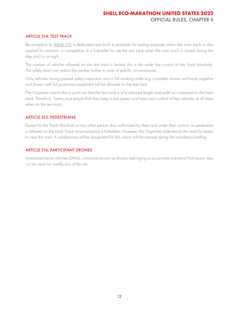#### <span id="page-12-0"></span>ARTICLE 214: TEST TRACK

By exception to [Article 213](#page-11-0) a dedicated test track is available for testing purposes when the main track is also opened for practice or competition. It is forbidden to use the test track when the main track is closed during the day and/or at night.

The number of vehicles allowed on the test track is limited; this is the under the control of the Track Marshals. The safety team can restrict this number further in case of specific circumstances.

Only vehicles having passed safety inspection and in full working order e.g. complete chassis and body together and Drivers with full protective equipment will be allowed on the test track.

The Organiser would like to point out that the test track is of a reduced length and width as compared to the main track. Therefore, Teams must ensure that they keep a low speed and have total control of their vehicles at all times when on the test track.

#### <span id="page-12-1"></span>ARTICLE 215: PEDESTRIANS

Except for the Track Marshals or any other person duly authorized by them and under their control, no pedestrian is allowed on the track. Track reconnaissance is forbidden. However, the Organiser understands the need for teams to view the track. A suitable time will be designated for this, which will be advised during the mandatory briefing.

#### <span id="page-12-2"></span>ARTICLE 216: PARTICIPANT DRONES

Unmanned aerial vehicles (UAVs), commonly known as drones, belonging to any private individual Participant, may not be used nor overfly any of the site.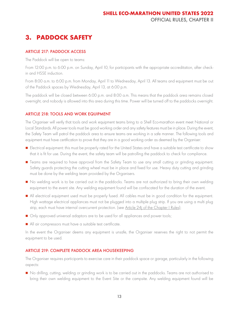# <span id="page-13-0"></span>**3. PADDOCK SAFETY**

#### <span id="page-13-1"></span>ARTICLE 217: PADDOCK ACCESS

The Paddock will be open to teams:

From 12:00 p.m. to 6:00 p.m. on Sunday, April 10, for participants with the appropriate accreditation, after checkin and HSSE induction.

From 8:00 a.m. to 6:00 p.m. from Monday, April 11 to Wednesday, April 13. All teams and equipment must be out of the Paddock spaces by Wednesday, April 13, at 6:00 p.m.

The paddock will be closed between 6:00 p.m. and 8:00 a.m. This means that the paddock area remains closed overnight, and nobody is allowed into this area during this time. Power will be turned off to the paddocks overnight.

#### <span id="page-13-2"></span>ARTICLE 218: TOOLS AND WORK EQUIPMENT

The Organiser will verify that tools and work equipment teams bring to a Shell Eco-marathon event meet National or Local Standards. All power tools must be good working order and any safety features must be in place. During the event, the Safety Team will patrol the paddock area to ensure teams are working in a safe manner. The following tools and equipment must have certification to prove that they are in a good working order as deemed by the Organiser:

- Electrical equipment: this must be properly rated for the United States and have a suitable test certificate to show that it is fit for use. During the event, the safety team will be patrolling the paddock to check for compliance.
- Teams are required to have approval from the Safety Team to use any small cutting or grinding equipment. Safety guards protecting the cutting wheel must be in place and fixed for use. Heavy duty cutting and grinding must be done by the welding team provided by the Organisers.
- No welding work is to be carried out in the paddocks. Teams are not authorized to bring their own welding equipment to the event site. Any welding equipment found will be confiscated for the duration of the event.
- All electrical equipment used must be properly fused. All cables must be in good condition for the equipment. High wattage electrical appliances must not be plugged into a multiple plug strip. If you are using a multi plug strip, each must have internal overcurrent protection. (see [Article 24j of](https://base.makethefuture.shell/en_gb/service/api/home/shell-eco-marathon/global-rules/_jcr_content/root/content/document_listing/items/download_595134961.stream/1630485146156/38a7abe7331aaa24603d0e8b158565cc726ab78d/shell-eco-marathon-2022-official-rules-chapter-i.pdf) the Chapter I Rules);
- Only approved universal adaptors are to be used for all appliances and power tools;
- All air compressors must have a suitable test certificate.

In the event the Organiser deems any equipment is unsafe, the Organiser reserves the right to not permit the equipment to be used.

#### <span id="page-13-3"></span>ARTICLE 219: COMPLETE PADDOCK AREA HOUSEKEEPING

The Organiser requires participants to exercise care in their paddock space or garage, particularly in the following aspects:

■ No drilling, cutting, welding or grinding work is to be carried out in the paddocks. Teams are not authorised to bring their own welding equipment to the Event Site or the campsite. Any welding equipment found will be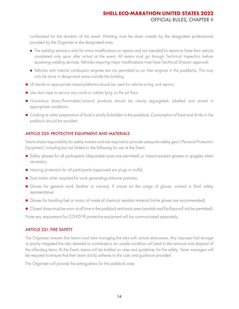confiscated for the duration of the event. Welding must be done outside by the designated professionals provided by the Organiser in the designated area:

- The welding service is only for minor modifications or repairs and not intended for teams to have their vehicle completed only upon after arrival at the event. All teams must go through Technical Inspection before accessing welding services. Vehicles requiring major modifications must have Technical Director approval;
- Vehicles with internal combustion engines are not permitted to run their engines in the paddocks. This may only be done in designated areas outside the building.
- Lift stands or appropriate raised platforms should be used for vehicle tuning and repairs;
- Use duct tape to secure any cords or cables lying on the pit floor;
- Hazardous (toxic/flammable/solvent) products should be clearly segregated, labelled and stored in appropriate conditions.
- Cooking or other preparation of food is strictly forbidden in the paddock. Consumption of food and drinks in the paddock should be avoided.

#### <span id="page-14-0"></span>ARTICLE 220: PROTECTIVE EQUIPMENT AND MATERIALS

Teams share responsibility for safety matters and are required to provide adequate safety gear ('Personal Protection Equipment') including but not limited to the following for use at the Event:

- Safety glasses for all participants (disposable types are permitted) or impact-resistant glasses or goggles when necessary;
- Hearing protection for all participants (approved ear plugs or muffs);
- Dust masks when required for work generating airborne particles;
- Gloves for general work (leather or canvas). If unsure on the usage of gloves, contact a Shell safety representative;
- Gloves for handling fuel or motor oil made of chemical resistant material (nitrile gloves are recommended);
- Closed shoes must be worn at all time in the paddock and track area (sandals and flip-flops will not be permitted).

Note any requirement for COVID-19 protective equipment will be communicated separately.

#### <span id="page-14-1"></span>ARTICLE 221: FIRE SAFETY

The Organiser stresses that teams must take managing fire risks with utmost seriousness. Any improper fuel storage or poorly mitigated fire risks deemed to contribute to an unsafe condition will lead to the removal and disposal of the offending items. At the Event, teams will be briefed on rules and guidelines for fire safety. Team managers will be required to ensure that their team strictly adheres to the rules and guidance provided.

The Organiser will provide fire extinguishers for the paddock area.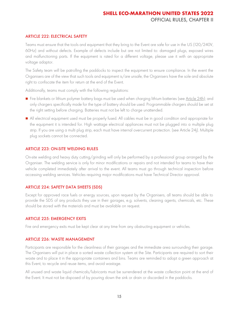#### <span id="page-15-0"></span>ARTICLE 222: ELECTRICAL SAFETY

Teams must ensure that the tools and equipment that they bring to the Event are safe for use in the US (120/240V, 60Hz) and without defects. Example of defects include but are not limited to: damaged plugs, exposed wires and malfunctioning parts. If the equipment is rated for a different voltage, please use it with an appropriate voltage adaptor.

The Safety team will be patrolling the paddocks to inspect the equipment to ensure compliance. In the event the Organisers are of the view that such tools and equipment is/are unsafe, the Organisers have the sole and absolute right to confiscate the item for return at the end of the Event.

Additionally, teams must comply with the following regulations:

- Fire blankets or lithium polymer battery bags must be used when charging lithium batteries (see [Article 24h\)](https://base.makethefuture.shell/en_gb/service/api/home/shell-eco-marathon/global-rules/_jcr_content/root/content/document_listing/items/download_595134961.stream/1630485146156/38a7abe7331aaa24603d0e8b158565cc726ab78d/shell-eco-marathon-2022-official-rules-chapter-i.pdf); and only chargers specifically made for the type of battery should be used. Programmable chargers should be set at the right setting before charging. Batteries must not be left to charge unattended.
- All electrical equipment used must be properly fused. All cables must be in good condition and appropriate for the equipment it is intended for. High wattage electrical appliances must not be plugged into a multiple plug strip. If you are using a multi plug strip, each must have internal overcurrent protection. (see [Article 24j\)](https://base.makethefuture.shell/en_gb/service/api/home/shell-eco-marathon/global-rules/_jcr_content/root/content/document_listing/items/download_595134961.stream/1630485146156/38a7abe7331aaa24603d0e8b158565cc726ab78d/shell-eco-marathon-2022-official-rules-chapter-i.pdf). Multiple plug sockets cannot be connected.

#### <span id="page-15-1"></span>ARTICLE 223: ON-SITE WELDING RULES

On-site welding and heavy duty cutting/grinding will only be performed by a professional group arranged by the Organiser. The welding service is only for minor modifications or repairs and not intended for teams to have their vehicle completed immediately after arrival to the event. All teams must go through technical inspection before accessing welding services. Vehicles requiring major modifications must have Technical Director approval.

#### <span id="page-15-2"></span>ARTICLE 224: SAFETY DATA SHEETS (SDS)

Except for approved race fuels or energy sources, upon request by the Organisers, all teams should be able to provide the SDS of any products they use in their garages, e.g. solvents, cleaning agents, chemicals, etc. These should be stored with the materials and must be available on request.

#### <span id="page-15-3"></span>ARTICLE 225: EMERGENCY EXITS

Fire and emergency exits must be kept clear at any time from any obstructing equipment or vehicles.

#### <span id="page-15-4"></span>ARTICLE 226: WASTE MANAGEMENT

Participants are responsible for the cleanliness of their garages and the immediate area surrounding their garage. The Organisers will put in place a sorted waste collection system at the Site. Participants are required to sort their waste and to place it in the appropriate containers and bins. Teams are reminded to adopt a green approach at this Event, to recycle and reuse items, and avoid wastage.

All unused and waste liquid chemicals/lubricants must be surrendered at the waste collection point at the end of the Event. It must not be disposed of by pouring down the sink or drain or discarded in the paddocks.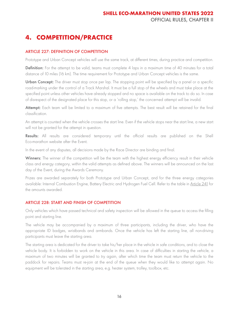# <span id="page-16-0"></span>**4. COMPETITION/PRACTICE**

#### <span id="page-16-1"></span>ARTICLE 227: DEFINITION OF COMPETITION

Prototype and Urban Concept vehicles will use the same track, at different times, during practice and competition.

Definition: For the attempt to be valid, teams must complete 4 laps in a maximum time of 40 minutes for a total distance of 10 miles (16 km). The time requirement for Prototype and Urban Concept vehicles is the same.

Urban Concept: The driver must stop once per lap. The stopping point will be specified by a panel or a specific road-marking under the control of a Track Marshal. It must be a full stop of the wheels and must take place at the specified point unless other vehicles have already stopped and no space is available on the track to do so. In case of disrespect of the designated place for this stop, or a 'rolling stop,' the concerned attempt will be invalid.

Attempt: Each team will be limited to a maximum of five attempts. The best result will be retained for the final classification.

An attempt is counted when the vehicle crosses the start line. Even if the vehicle stops near the start line, a new start will not be granted for the attempt in question.

Results: All results are considered temporary until the official results are published on the Shell Eco-marathon website after the Event.

In the event of any disputes, all decisions made by the Race Director are binding and final.

Winners: The winner of the competition will be the team with the highest energy efficiency result in their vehicle class and energy category, within the valid attempts as defined above. The winners will be announced on the last day of the Event, during the Awards Ceremony.

Prizes are awarded separately for both Prototype and Urban Concept, and for the three energy categories available: Internal Combustion Engine, Battery Electric and Hydrogen Fuel Cell. Refer to the table in [Article 241](#page-21-2) for the amounts awarded.

#### <span id="page-16-2"></span>ARTICLE 228: START AND FINISH OF COMPETITION

Only vehicles which have passed technical and safety inspection will be allowed in the queue to access the filling point and starting line.

The vehicle may be accompanied by a maximum of three participants, including the driver, who have the appropriate ID badges, wristbands and armbands. Once the vehicle has left the starting line, all non-driving participants must leave the starting area.

The starting area is dedicated for the driver to take his/her place in the vehicle in safe conditions, and to close the vehicle body. It is forbidden to work on the vehicle in this area. In case of difficulties in starting the vehicle, a maximum of two minutes will be granted to try again, after which time the team must return the vehicle to the paddock for repairs. Teams must re-join at the end of the queue when they would like to attempt again. No equipment will be tolerated in the starting area, e.g. heater system, trolley, toolbox, etc.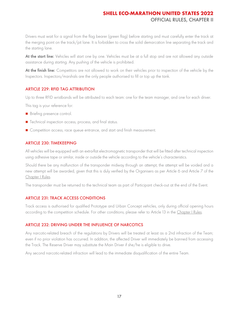Drivers must wait for a signal from the flag bearer (green flag) before starting and must carefully enter the track at the merging point on the track/pit lane. It is forbidden to cross the solid demarcation line separating the track and the starting lane.

At the start line: Vehicles will start one by one. Vehicles must be at a full stop and are not allowed any outside assistance during starting. Any pushing of the vehicle is prohibited.

At the finish line: Competitors are not allowed to work on their vehicles prior to inspection of the vehicle by the Inspectors. Inspectors/marshals are the only people authorised to fill or top up the tank.

#### <span id="page-17-0"></span>ARTICLE 229 · REID TAG ATTRIBUTION

Up to three RFID wristbands will be attributed to each team: one for the team manager, and one for each driver.

This tag is your reference for:

- Briefing presence control.
- Technical inspection access, process, and final status.
- Competition access, race queue entrance, and start and finish measurement.

#### <span id="page-17-1"></span>ARTICLE 230: TIMEKEEPING

All vehicles will be equipped with an extra-flat electromagnetic transponder that will be fitted after technical inspection using adhesive tape or similar, inside or outside the vehicle according to the vehicle's characteristics.

Should there be any malfunction of the transponder midway through an attempt, the attempt will be voided and a new attempt will be awarded, given that this is duly verified by the Organisers as per Article 6 and Article 7 of the [Chapter I Rules.](https://base.makethefuture.shell/en_gb/service/api/home/shell-eco-marathon/global-rules/_jcr_content/root/content/document_listing/items/download_595134961.stream/1630485146156/38a7abe7331aaa24603d0e8b158565cc726ab78d/shell-eco-marathon-2022-official-rules-chapter-i.pdf)

The transponder must be returned to the technical team as part of Participant check-out at the end of the Event.

#### <span id="page-17-2"></span>ARTICLE 231: TRACK ACCESS CONDITIONS

Track access is authorised for qualified Prototype and Urban Concept vehicles, only during official opening hours according to the competition schedule. For other conditions, please refer to Article 13 in the [Chapter I Rules.](https://base.makethefuture.shell/en_gb/service/api/home/shell-eco-marathon/global-rules/_jcr_content/root/content/document_listing/items/download_595134961.stream/1630485146156/38a7abe7331aaa24603d0e8b158565cc726ab78d/shell-eco-marathon-2022-official-rules-chapter-i.pdf)

#### <span id="page-17-3"></span>ARTICLE 232: DRIVING UNDER THE INFLUENCE OF NARCOTICS

Any narcotic-related breach of the regulations by Drivers will be treated at least as a 2nd infraction of the Team; even if no prior violation has occurred. In addition, the affected Driver will immediately be banned from accessing the Track. The Reserve Driver may substitute the Main Driver if she/he is eligible to drive.

Any second narcotic-related infraction will lead to the immediate disqualification of the entire Team.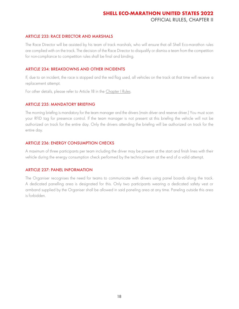#### <span id="page-18-0"></span>ARTICLE 233: RACE DIRECTOR AND MARSHALS

The Race Director will be assisted by his team of track marshals, who will ensure that all Shell Eco-marathon rules are complied with on the track. The decision of the Race Director to disqualify or dismiss a team from the competition for non-compliance to competition rules shall be final and binding.

#### <span id="page-18-1"></span>ARTICLE 234: BREAKDOWNS AND OTHER INCIDENTS

If, due to an incident, the race is stopped and the red flag used, all vehicles on the track at that time will receive a replacement attempt.

For other details, please refer to Article 18 in the [Chapter I Rules.](https://base.makethefuture.shell/en_gb/service/api/home/shell-eco-marathon/global-rules/_jcr_content/root/content/document_listing/items/download_595134961.stream/1630485146156/38a7abe7331aaa24603d0e8b158565cc726ab78d/shell-eco-marathon-2022-official-rules-chapter-i.pdf)

#### <span id="page-18-2"></span>ARTICLE 235: MANDATORY BRIEFING

The morning briefing is mandatory for the team manager and the drivers (main driver and reserve driver.) You must scan your RFID tag for presence control. If the team manager is not present at this briefing the vehicle will not be authorized on track for the entire day. Only the drivers attending the briefing will be authorized on track for the entire day.

#### <span id="page-18-3"></span>ARTICLE 236: ENERGY CONSUMPTION CHECKS

A maximum of three participants per team including the driver may be present at the start and finish lines with their vehicle during the energy consumption check performed by the technical team at the end of a valid attempt.

#### <span id="page-18-4"></span>ARTICLE 237: PANEL INFORMATION

The Organiser recognises the need for teams to communicate with drivers using panel boards along the track. A dedicated panelling area is designated for this. Only two participants wearing a dedicated safety vest or armband supplied by the Organiser shall be allowed in said paneling area at any time. Paneling outside this area is forbidden.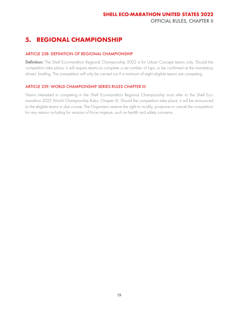# <span id="page-19-0"></span>**5. REGIONAL CHAMPIONSHIP**

#### <span id="page-19-1"></span>ARTICLE 238: DEFINITION OF REGIONAL CHAMPIONSHIP

Definition: The Shell Eco-marathon Regional Championship 2022 is for Urban Concept teams only. Should the competition take place, it will require teams to complete a set number of laps, to be confirmed at the mandatory drivers' briefing. The competition will only be carried out if a minimum of eight eligible teams are competing.

#### <span id="page-19-2"></span>ARTICLE 239: WORLD CHAMPIONSHIP SERIES RULES CHAPTER III

Teams interested in competing in the Shell Eco-marathon Regional Championship must refer to the Shell Ecomarathon 2022 World Championship Rules, Chapter III. Should the competition take place, it will be announced to the eligible teams in due course. The Organisers reserve the right to modify, postpone or cancel the competition for any reason including for reasons of force majeure, such as health and safety concerns.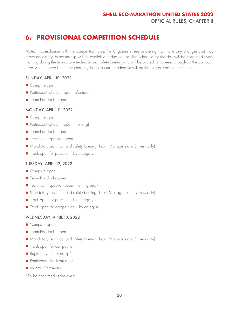# <span id="page-20-0"></span>**6. PROVISIONAL COMPETITION SCHEDULE**

Note: In compliance with the competition rules, the Organisers reserve the right to make any changes that may prove necessary. Exact timings will be available in due course. The schedule for the day will be confirmed every morning during the mandatory technical and safety briefing and will be posted on screens throughout the paddock area. Should there be further charges, the most current schedule will be the one posted on the screens.

#### SUNDAY, APRIL 10, 2022

- Campsite open
- Participant Check-in open (afternoon)
- Team Paddocks open

#### MONDAY, APRIL 11, 2022

- Campsite open
- Participant Check-in open (morning)
- Team Paddocks open
- Technical Inspection open
- Mandatory technical and safety briefing (Team Managers and Drivers only)
- Track open for practice by category

#### TUESDAY, APRIL 12, 2022

- Campsite open
- Team Paddocks open
- Technical Inspection open (morning only)
- Mandatory technical and safety briefing (Team Managers and Drivers only)
- Track open for practice by category
- Track open for competition by category

#### WEDNESDAY, APRIL 13, 2022

- Campsite open
- Team Paddocks open
- Mandatory technical and safety briefing (Team Managers and Drivers only)
- Track open for competition
- Regional Championship\*
- Participant check-out open
- Awards Ceremony
- \*To be confirmed at the event.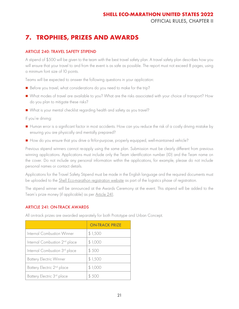# <span id="page-21-0"></span>**7. TROPHIES, PRIZES AND AWARDS**

#### <span id="page-21-1"></span>ARTICLE 240: TRAVEL SAFETY STIPEND

A stipend of \$500 will be given to the team with the best travel safety plan. A travel safety plan describes how you will ensure that your travel to and from the event is as safe as possible. The report must not exceed 8 pages, using a minimum font size of 10 points.

Teams will be expected to answer the following questions in your application:

- Before you travel, what considerations do you need to make for the trip?
- What modes of travel are available to you? What are the risks associated with your choice of transport? How do you plan to mitigate these risks?
- What is your mental checklist regarding health and safety as you travel?

If you're driving:

- Human error is a significant factor in most accidents. How can you reduce the risk of a costly driving mistake by ensuring you are physically and mentally prepared?
- How do you ensure that you drive a fit-for-purpose, properly equipped, well-maintained vehicle?

Previous stipend winners cannot re-apply using the same plan. Submission must be clearly different from previous winning applications. Applications must include only the Team identification number (ID) and the Team name on the cover. Do not include any personal information within the applications, for example, please do not include personal names or contact details.

Applications for the Travel Safety Stipend must be made in the English language and the required documents must be uploaded to the **Shell Eco-marathon registration website** as part of the logistics phase of registration.

The stipend winner will be announced at the Awards Ceremony at the event. This stipend will be added to the Team's prize money (if applicable) as per [Article 241.](#page-21-2)

#### <span id="page-21-2"></span>ARTICLE 241: ON-TRACK AWARDS

|                                           | <b>ON-TRACK PRIZE</b> |
|-------------------------------------------|-----------------------|
| Internal Combustion Winner                | \$1,500               |
| Internal Combustion 2 <sup>nd</sup> place | \$1,000               |
| Internal Combustion 3 <sup>rd</sup> place | \$500                 |
| <b>Battery Electric Winner</b>            | \$1,500               |
| Battery Electric 2 <sup>nd</sup> place    | \$1,000               |
| Battery Electric 3 <sup>rd</sup> place    | \$ 500                |

All on-track prizes are awarded separately for both Prototype and Urban Concept.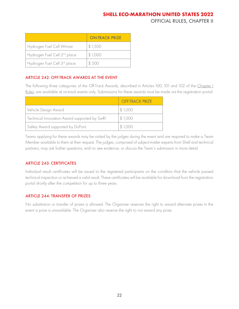### **SHELL ECO-MARATHON UNITED STATES 2022**

OFFICIAL RULES, CHAPTER II

|                                          | <b>ON-TRACK PRIZE</b> |
|------------------------------------------|-----------------------|
| Hydrogen Fuel Cell Winner                | \$1,500               |
| Hydrogen Fuel Cell 2 <sup>nd</sup> place | \$1,000               |
| Hydrogen Fuel Cell 3 <sup>rd</sup> place | \$500                 |

#### <span id="page-22-0"></span>ARTICLE 242: OFF-TRACK AWARDS AT THE EVENT

The following three categories of the Off-Track Awards, described in Articles 100, 101 and 102 of the Chapter I [Rules,](https://base.makethefuture.shell/en_gb/service/api/home/shell-eco-marathon/global-rules/_jcr_content/root/content/document_listing/items/download_595134961.stream/1630485146156/38a7abe7331aaa24603d0e8b158565cc726ab78d/shell-eco-marathon-2022-official-rules-chapter-i.pdf) are available at on-track events only. Submissions for these awards must be made via the registration portal.

|                                              | <b>OFF-TRACK PRIZE</b> |
|----------------------------------------------|------------------------|
| Vehicle Design Award                         | \$1,000                |
| Technical Innovation Award supported by SwRI | \$1,000                |
| Safety Award supported by DuPont             | \$1,000                |

Teams applying for these awards may be visited by the judges during the event and are required to make a Team Member available to them at their request. The judges, comprised of subject-matter experts from Shell and technical partners, may ask further questions, wish to see evidence, or discuss the Team's submission in more detail.

#### <span id="page-22-1"></span>ARTICLE 243: CERTIFICATES

Individual result certificates will be issued to the registered participants on the condition that the vehicle passed technical inspection or achieved a valid result. These certificates will be available for download from the registration portal shortly after the competition for up to three years.

#### <span id="page-22-2"></span>ARTICLE 244: TRANSFER OF PRIZES

No substitution or transfer of prizes is allowed. The Organiser reserves the right to award alternate prizes in the event a prize is unavailable. The Organiser also reserve the right to not award any prize.